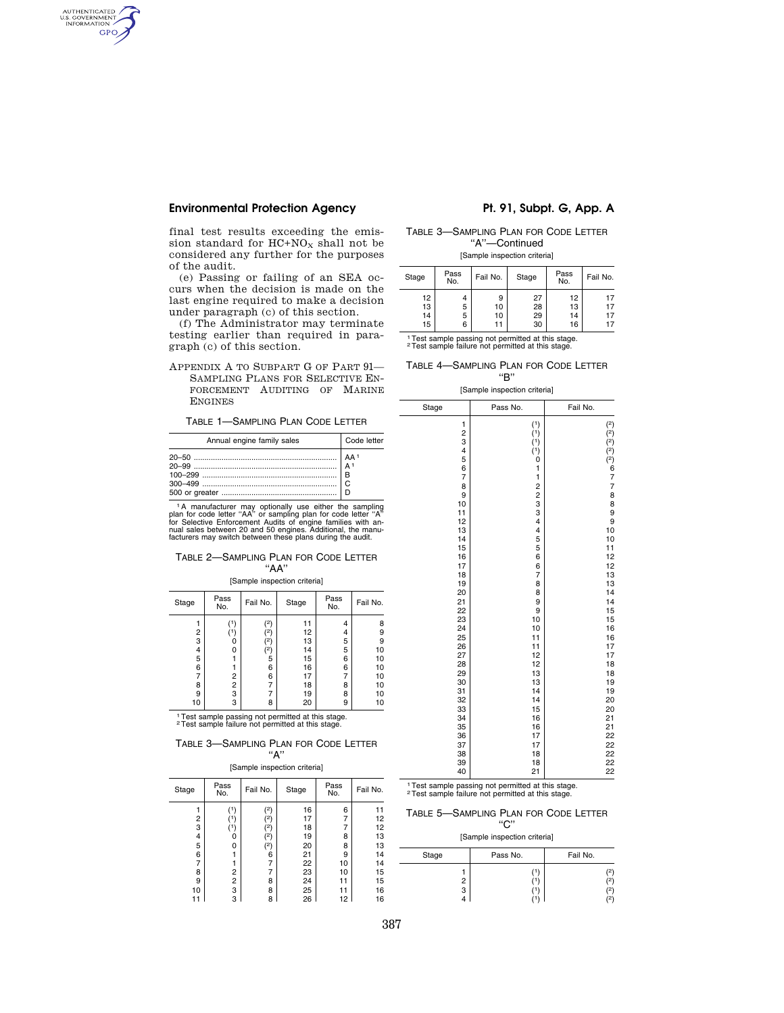## Environmental Protection Agency Pt. 91, Subpt. G, App. A

AUTHENTICATED<br>U.S. GOVERNMENT<br>INFORMATION **GPO** 

> final test results exceeding the emission standard for  $HC+NO<sub>X</sub>$  shall not be considered any further for the purposes of the audit.

> (e) Passing or failing of an SEA occurs when the decision is made on the last engine required to make a decision under paragraph (c) of this section.

> (f) The Administrator may terminate testing earlier than required in paragraph (c) of this section.

> APPENDIX A TO SUBPART G OF PART 91— SAMPLING PLANS FOR SELECTIVE EN-FORCEMENT AUDITING OF MARINE ENGINES

TABLE 1—SAMPLING PLAN CODE LETTER

| Annual engine family sales | Code letter |
|----------------------------|-------------|
|                            | l c         |

<sup>1</sup>A manufacturer may optionally use either the sampling<br>plan for code letter "AA" or sampling plan for code letter "A"<br>for Selective Enforcement Audits of engine families with an-<br>nual sales between 20 and 50 engines. Add

### TABLE 2—SAMPLING PLAN FOR CODE LETTER ''AA''

[Sample inspection criteria]

| Stage | Pass<br>No. | Fail No. | Stage | Pass<br>No. | Fail No. |
|-------|-------------|----------|-------|-------------|----------|
|       | ٬۱          | (2)      | 11    | 4           | 8        |
| 2     |             | (2)      | 12    | 4           | 9        |
| 3     | Ω           | $^{(2)}$ | 13    | 5           | 9        |
| 4     | 0           | (2)      | 14    | 5           | 10       |
| 5     |             | 5        | 15    | 6           | 10       |
| 6     |             | 6        | 16    | 6           | 10       |
|       | 2           | 6        | 17    |             | 10       |
| 8     | 2           |          | 18    | 8           | 10       |
| 9     | 3           |          | 19    | 8           | 10       |
| 10    | 3           | 8        | 20    | 9           | 10       |

1Test sample passing not permitted at this stage. 2Test sample failure not permitted at this stage.

### TABLE 3—SAMPLING PLAN FOR CODE LETTER ''A''

[Sample inspection criteria]

| Stage | Pass<br>No. | Fail No. | Stage | Pass<br>No. | Fail No. |
|-------|-------------|----------|-------|-------------|----------|
|       | '1)         | (2)      | 16    | 6           | 11       |
| 2     |             | (2)      | 17    | 7           | 12       |
| 3     |             | (2       | 18    | 7           | 12       |
| 4     | 0           | (2)      | 19    | 8           | 13       |
| 5     | 0           | (2)      | 20    | 8           | 13       |
| 6     |             | 6        | 21    | 9           | 14       |
| 7     |             | 7        | 22    | 10          | 14       |
| 8     | 2           | 7        | 23    | 10          | 15       |
| 9     | 2           | 8        | 24    | 11          | 15       |
| 10    | 3           | 8        | 25    | 11          | 16       |
|       | 3           | 8        | 26    | 12          | 16       |

TABLE 3—SAMPLING PLAN FOR CODE LETTER ''A''—Continued

[Sample inspection criteria]

| Stage | Pass<br>No. | Fail No. | Stage | Pass<br>No. | Fail No. |
|-------|-------------|----------|-------|-------------|----------|
| 12    | 4           | 9        | 27    | 12          | 17       |
| 13    | 5           | 10       | 28    | 13          | 17       |
| 14    | 5           | 10       | 29    | 14          | 17       |
| 15    | 6           | 11       | 30    | 16          | 17       |

1Test sample passing not permitted at this stage. 2Test sample failure not permitted at this stage.

TABLE 4—SAMPLING PLAN FOR CODE LETTER ''B''

[Sample inspection criteria]

<sup>1</sup> Test sample passing not permitted at this stage.<br><sup>2</sup> Test sample failure not permitted at this stage.

TABLE 5—SAMPLING PLAN FOR CODE LETTER  $\sum$ 

| ີ<br>[Sample inspection criteria] |        |          |          |
|-----------------------------------|--------|----------|----------|
| Stage                             |        | Pass No. | Fail No. |
|                                   | 2<br>3 |          | 2)       |